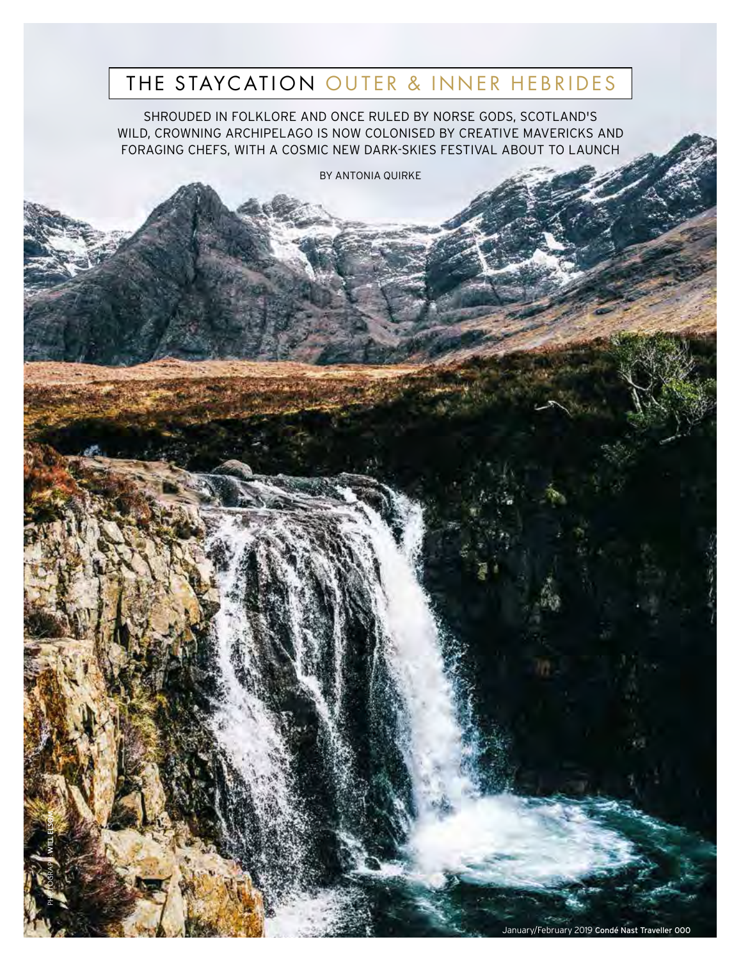# THE STAYCATION OUTER & INNER HEBRIDES

SHROUDED IN FOLKLORE AND ONCE RULED BY NORSE GODS, SCOTLAND'S WILD, CROWNING ARCHIPELAGO IS NOW COLONISED BY CREATIVE MAVERICKS AND FORAGING CHEFS, WITH A COSMIC NEW DARK-SKIES FESTIVAL ABOUT TO LAUNCH

BY ANTONIA QUIRKE PHOTOGRAPH: WILL ELSOM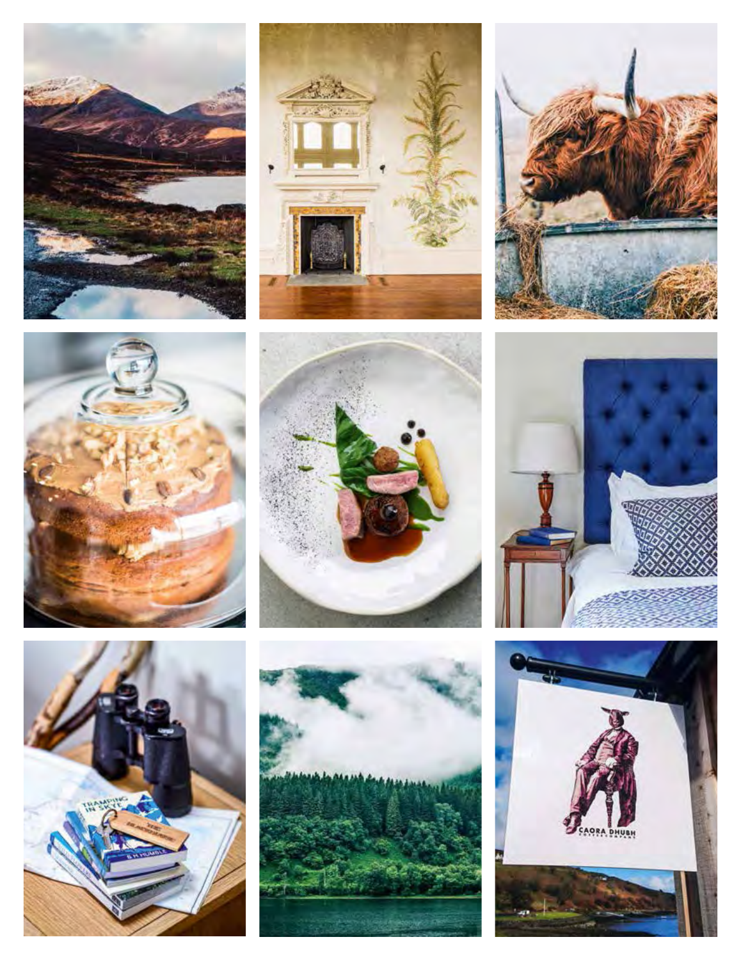











![](_page_1_Picture_6.jpeg)

![](_page_1_Picture_7.jpeg)

![](_page_1_Picture_8.jpeg)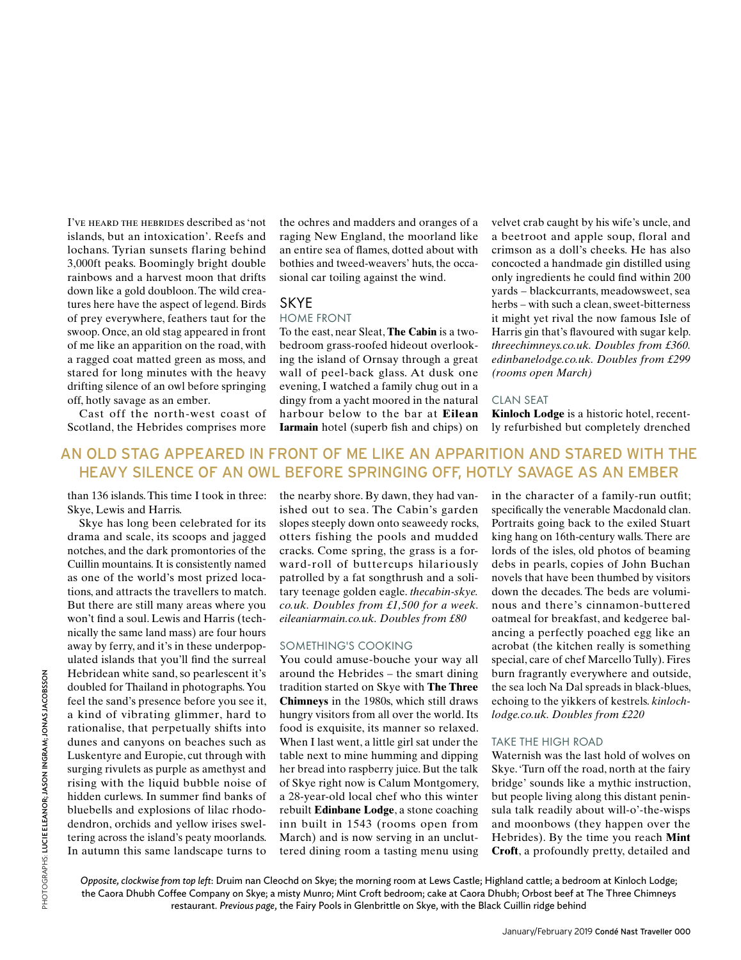I've heard the hebrides described as 'not islands, but an intoxication'. Reefs and lochans. Tyrian sunsets flaring behind 3,000ft peaks. Boomingly bright double rainbows and a harvest moon that drifts down like a gold doubloon. The wild creatures here have the aspect of legend. Birds of prey everywhere, feathers taut for the swoop. Once, an old stag appeared in front of me like an apparition on the road, with a ragged coat matted green as moss, and stared for long minutes with the heavy drifting silence of an owl before springing off, hotly savage as an ember.

Cast off the north-west coast of Scotland, the Hebrides comprises more the ochres and madders and oranges of a raging New England, the moorland like an entire sea of flames, dotted about with bothies and tweed-weavers' huts, the occasional car toiling against the wind.

## SKYE

#### HOME FRONT

To the east, near Sleat, **The Cabin** is a twobedroom grass-roofed hideout overlooking the island of Ornsay through a great wall of peel-back glass. At dusk one evening, I watched a family chug out in a dingy from a yacht moored in the natural harbour below to the bar at **Eilean Iarmain** hotel (superb fish and chips) on velvet crab caught by his wife's uncle, and a beetroot and apple soup, floral and crimson as a doll's cheeks. He has also concocted a handmade gin distilled using only ingredients he could find within 200 yards – blackcurrants, meadowsweet, sea herbs – with such a clean, sweet-bitterness it might yet rival the now famous Isle of Harris gin that's flavoured with sugar kelp. *threechimneys.co.uk. Doubles from £360. edinbanelodge.co.uk. Doubles from £299 (rooms open March)*

## CLAN SEAT

**Kinloch Lodge** is a historic hotel, recently refurbished but completely drenched

# AN OLD STAG APPEARED IN FRONT OF ME LIKE AN APPARITION AND STARED WITH THE HEAVY SILENCE OF AN OWL BEFORE SPRINGING OFF, HOTLY SAVAGE AS AN EMBER

than 136 islands. This time I took in three: Skye, Lewis and Harris.

Skye has long been celebrated for its drama and scale, its scoops and jagged notches, and the dark promontories of the Cuillin mountains. It is consistently named as one of the world's most prized locations, and attracts the travellers to match. But there are still many areas where you won't find a soul. Lewis and Harris (technically the same land mass) are four hours away by ferry, and it's in these underpopulated islands that you'll find the surreal Hebridean white sand, so pearlescent it's doubled for Thailand in photographs. You feel the sand's presence before you see it, a kind of vibrating glimmer, hard to rationalise, that perpetually shifts into dunes and canyons on beaches such as Luskentyre and Europie, cut through with surging rivulets as purple as amethyst and rising with the liquid bubble noise of hidden curlews. In summer find banks of bluebells and explosions of lilac rhododendron, orchids and yellow irises sweltering across the island's peaty moorlands. In autumn this same landscape turns to the nearby shore. By dawn, they had vanished out to sea. The Cabin's garden slopes steeply down onto seaweedy rocks, otters fishing the pools and mudded cracks. Come spring, the grass is a forward-roll of buttercups hilariously patrolled by a fat songthrush and a solitary teenage golden eagle. *thecabin-skye. co.uk. Doubles from £1,500 for a week. eileaniarmain.co.uk. Doubles from £80*

#### SOMETHING'S COOKING

You could amuse-bouche your way all around the Hebrides – the smart dining tradition started on Skye with **The Three Chimneys** in the 1980s, which still draws hungry visitors from all over the world. Its food is exquisite, its manner so relaxed. When I last went, a little girl sat under the table next to mine humming and dipping her bread into raspberry juice. But the talk of Skye right now is Calum Montgomery, a 28-year-old local chef who this winter rebuilt **Edinbane Lodge**, a stone coaching inn built in 1543 (rooms open from March) and is now serving in an uncluttered dining room a tasting menu using

in the character of a family-run outfit; specifically the venerable Macdonald clan. Portraits going back to the exiled Stuart king hang on 16th-century walls. There are lords of the isles, old photos of beaming debs in pearls, copies of John Buchan novels that have been thumbed by visitors down the decades. The beds are voluminous and there's cinnamon-buttered oatmeal for breakfast, and kedgeree balancing a perfectly poached egg like an acrobat (the kitchen really is something special, care of chef Marcello Tully). Fires burn fragrantly everywhere and outside, the sea loch Na Dal spreads in black-blues, echoing to the yikkers of kestrels. *kinlochlodge.co.uk. Doubles from £220*

#### TAKE THE HIGH ROAD

Waternish was the last hold of wolves on Skye. 'Turn off the road, north at the fairy bridge' sounds like a mythic instruction, but people living along this distant peninsula talk readily about will-o'-the-wisps and moonbows (they happen over the Hebrides). By the time you reach **Mint Croft**, a profoundly pretty, detailed and

*Opposite, clockwise from top left*: Druim nan Cleochd on Skye; the morning room at Lews Castle; Highland cattle; a bedroom at Kinloch Lodge; the Caora Dhubh Coffee Company on Skye; a misty Munro; Mint Croft bedroom; cake at Caora Dhubh; Orbost beef at The Three Chimneys restaurant. *Previous page*, the Fairy Pools in Glenbrittle on Skye, with the Black Cuillin ridge behind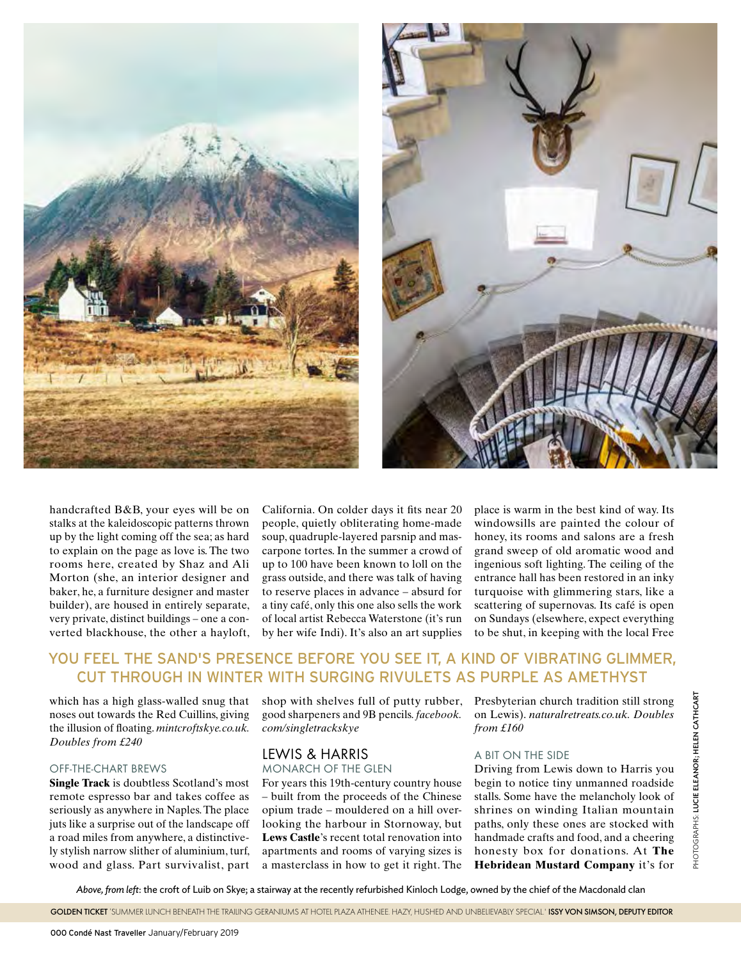![](_page_3_Picture_0.jpeg)

![](_page_3_Picture_1.jpeg)

handcrafted B&B, your eyes will be on stalks at the kaleidoscopic patterns thrown up by the light coming off the sea; as hard to explain on the page as love is. The two rooms here, created by Shaz and Ali Morton (she, an interior designer and baker, he, a furniture designer and master builder), are housed in entirely separate, very private, distinct buildings – one a converted blackhouse, the other a hayloft,

California. On colder days it fits near 20 people, quietly obliterating home-made soup, quadruple-layered parsnip and mascarpone tortes. In the summer a crowd of up to 100 have been known to loll on the grass outside, and there was talk of having to reserve places in advance – absurd for a tiny café, only this one also sells the work of local artist Rebecca Waterstone (it's run by her wife Indi). It's also an art supplies

place is warm in the best kind of way. Its windowsills are painted the colour of honey, its rooms and salons are a fresh grand sweep of old aromatic wood and ingenious soft lighting. The ceiling of the entrance hall has been restored in an inky turquoise with glimmering stars, like a scattering of supernovas. Its café is open on Sundays (elsewhere, expect everything to be shut, in keeping with the local Free

# YOU FEEL THE SAND'S PRESENCE BEFORE YOU SEE IT, A KIND OF VIBRATING GLIMMER, CUT THROUGH IN WINTER WITH SURGING RIVULETS AS PURPLE AS AMETHYST

which has a high glass-walled snug that noses out towards the Red Cuillins, giving the illusion of floating. *mintcroftskye.co.uk. Doubles from £240*

## OFF-THE-CHART BREWS

**Single Track** is doubtless Scotland's most remote espresso bar and takes coffee as seriously as anywhere in Naples. The place juts like a surprise out of the landscape off a road miles from anywhere, a distinctively stylish narrow slither of aluminium, turf, wood and glass. Part survivalist, part

shop with shelves full of putty rubber, good sharpeners and 9B pencils. *facebook. com/singletrackskye*

# LEWIS & HARRIS

## MONARCH OF THE GLEN

For years this 19th-century country house – built from the proceeds of the Chinese opium trade – mouldered on a hill overlooking the harbour in Stornoway, but **Lews Castle**'s recent total renovation into apartments and rooms of varying sizes is a masterclass in how to get it right. The

Presbyterian church tradition still strong on Lewis). *naturalretreats.co.uk. Doubles from £160*

## A BIT ON THE SIDE

Driving from Lewis down to Harris you begin to notice tiny unmanned roadside stalls. Some have the melancholy look of shrines on winding Italian mountain paths, only these ones are stocked with handmade crafts and food, and a cheering honesty box for donations. At **The Hebridean Mustard Company** it's for

*Above, from left*: the croft of Luib on Skye; a stairway at the recently refurbished Kinloch Lodge, owned by the chief of the Macdonald clan

GOLDEN TICKET 'SUMMER LUNCH BENEATH THE TRAILING GERANIUMS AT HOTEL PLAZA ATHENEE. HAZY, HUSHED AND UNBELIEVABLY SPECIAL.' ISSY VON SIMSON, DEPUTY EDITOR